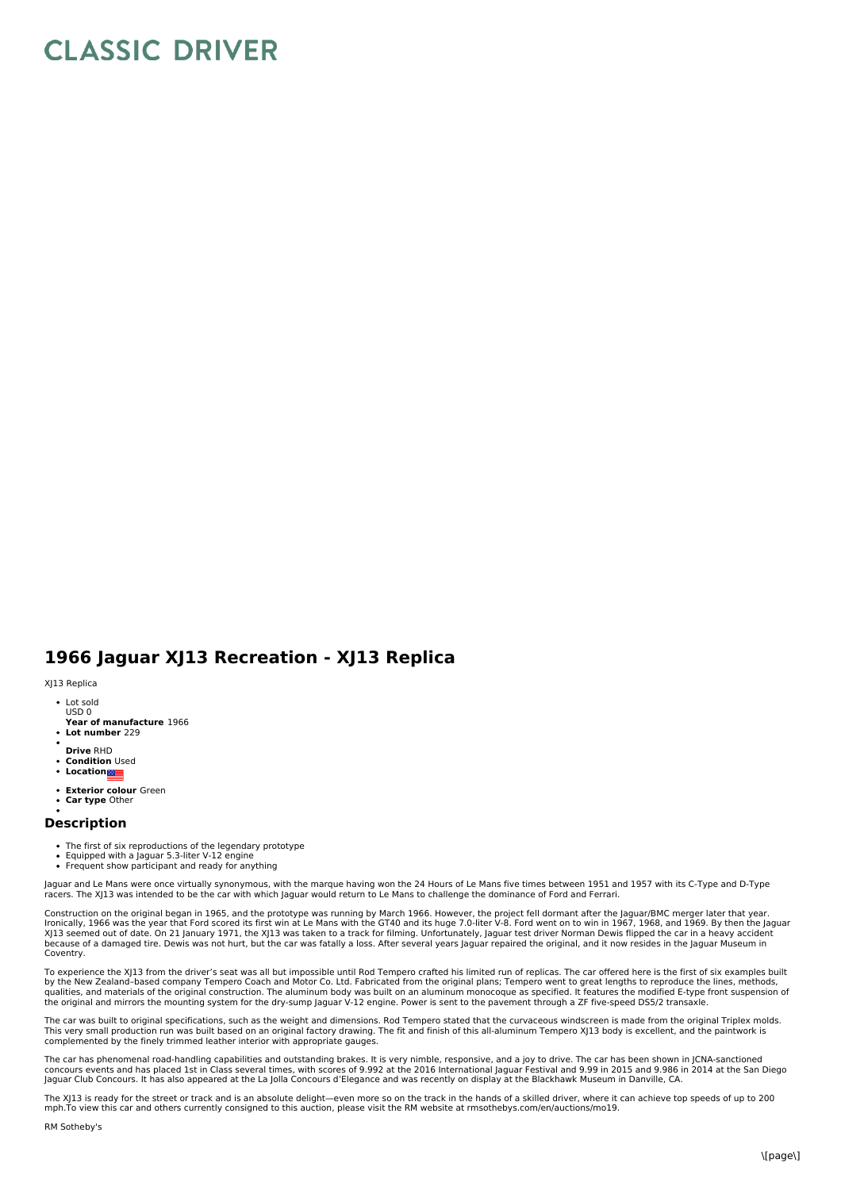## **CLASSIC DRIVER**

## **1966 Jaguar XJ13 Recreation - XJ13 Replica**

## XJ13 Replica

- Lot sold USD 0
- **Year of manufacture** 1966
- **Lot number** 229
- **Drive** RHD
- **Condition** Used
- **•** Location
- **Exterior colour** Green
- **Car type** Other

## **Description**

- The first of six reproductions of the legendary prototype
- Equipped with a Jaguar 5.3-liter V-12 engine
- Frequent show participant and ready for anything

Jaguar and Le Mans were once virtually synonymous, with the marque having won the 24 Hours of Le Mans five times between 1951 and 1957 with its C-Type and D-Type<br>racers. The XJ13 was intended to be the car with which Jagua

Construction on the original began in 1965, and the prototype was running by March 1966. However, the project fell dormant after the Jaguar/BMC merger later that year.<br>Ironically, 1966 was the year that Ford scored its fir Coventry.

To experience the XJ13 from the driver's seat was all but impossible until Rod Tempero crafted his limited run of replicas. The car offered here is the first of six examples built by the New Zealand-based company Tempero Coach and Motor Co. Ltd. Fabricated from the original plans; Tempero went to great lengths to reproduce the lines, methods,<br>qualities, and materials of the original construction. Th the original and mirrors the mounting system for the dry-sump Jaguar V-12 engine. Power is sent to the pavement through a ZF five-speed DS5/2 transaxle.

The car was built to original specifications, such as the weight and dimensions. Rod Tempero stated that the curvaceous windscreen is made from the original Triplex molds. This very small production run was built based on an original factory drawing. The fit and finish of this all-aluminum Tempero XJ13 body is excellent, and the paintwork is<br>complemented by the finely trimmed leather interio

The car has phenomenal road-handling capabilities and outstanding brakes. It is very nimble, responsive, and a joy to drive. The car has been shown in JCNA-sanctioned<br>concours events and has placed 1st in Class several tim

The XJ13 is ready for the street or track and is an absolute delight—even more so on the track in the hands of a skilled driver, where it can achieve top speeds of up to 200 mph.To view this car and others currently consigned to this auction, please visit the RM website at rmsothebys.com/en/auctions/mo19.